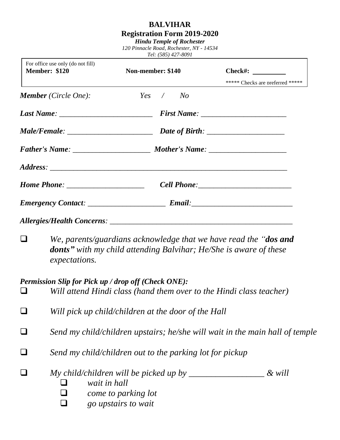## **BALVIHAR**

## **Registration Form 2019-2020**

*Hindu Temple of Rochester 120 Pinnacle Road, Rochester, NY - 14534*

*Tel: (585) 427-8091*

| For office use only (do not fill)<br><b>Member: \$120</b> |                                                                                                                                                                                                                                                                                                                                                                                | Non-member: \$140 |             | $Check\#:$<br>***** Checks are preferred *****                      |
|-----------------------------------------------------------|--------------------------------------------------------------------------------------------------------------------------------------------------------------------------------------------------------------------------------------------------------------------------------------------------------------------------------------------------------------------------------|-------------------|-------------|---------------------------------------------------------------------|
|                                                           | <b>Member</b> (Circle One):                                                                                                                                                                                                                                                                                                                                                    |                   | $Yes \t No$ |                                                                     |
|                                                           |                                                                                                                                                                                                                                                                                                                                                                                |                   |             |                                                                     |
|                                                           |                                                                                                                                                                                                                                                                                                                                                                                |                   |             |                                                                     |
|                                                           |                                                                                                                                                                                                                                                                                                                                                                                |                   |             |                                                                     |
|                                                           |                                                                                                                                                                                                                                                                                                                                                                                |                   |             |                                                                     |
|                                                           |                                                                                                                                                                                                                                                                                                                                                                                |                   |             |                                                                     |
|                                                           |                                                                                                                                                                                                                                                                                                                                                                                |                   |             |                                                                     |
|                                                           |                                                                                                                                                                                                                                                                                                                                                                                |                   |             |                                                                     |
|                                                           | We, parents/guardians acknowledge that we have read the " <b>dos and</b><br><b>donts</b> " with my child attending Balvihar; He/She is aware of these<br><i>expectations.</i>                                                                                                                                                                                                  |                   |             |                                                                     |
|                                                           | Permission Slip for Pick up / drop off (Check ONE):                                                                                                                                                                                                                                                                                                                            |                   |             | Will attend Hindi class (hand them over to the Hindi class teacher) |
|                                                           | Will pick up child/children at the door of the Hall                                                                                                                                                                                                                                                                                                                            |                   |             |                                                                     |
|                                                           | Send my child/children upstairs; he/she will wait in the main hall of temple                                                                                                                                                                                                                                                                                                   |                   |             |                                                                     |
|                                                           | Send my child/children out to the parking lot for pickup                                                                                                                                                                                                                                                                                                                       |                   |             |                                                                     |
|                                                           | My child/children will be picked up by $\frac{1}{2}$ $\frac{1}{2}$ $\frac{1}{2}$ $\frac{1}{2}$ $\frac{1}{2}$ $\frac{1}{2}$ $\frac{1}{2}$ $\frac{1}{2}$ $\frac{1}{2}$ $\frac{1}{2}$ $\frac{1}{2}$ $\frac{1}{2}$ $\frac{1}{2}$ $\frac{1}{2}$ $\frac{1}{2}$ $\frac{1}{2}$ $\frac{1}{2}$ $\frac{1}{2}$ $\$<br>& will<br>wait in hall<br>come to parking lot<br>go upstairs to wait |                   |             |                                                                     |